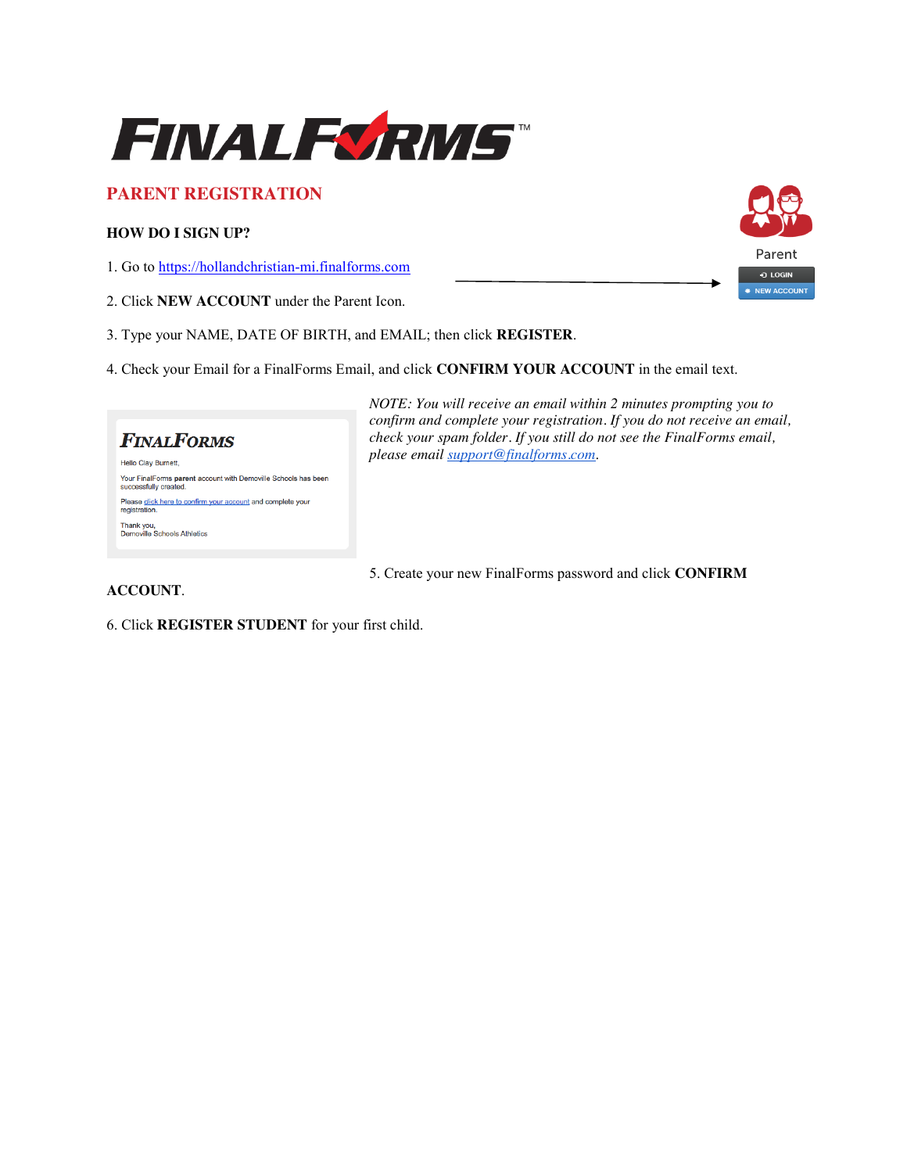

## **PARENT REGISTRATION**

### **HOW DO I SIGN UP?**

1. Go to https://hollandchristian-mi.finalforms.com

- 2. Click **NEW ACCOUNT** under the Parent Icon.
- 3. Type your NAME, DATE OF BIRTH, and EMAIL; then click **REGISTER**.
- 4. Check your Email for a FinalForms Email, and click **CONFIRM YOUR ACCOUNT** in the email text.

# **FINALFORMS**

Hello Clay Burnett, Your FinalForms parent account with Demoville Schools has been<br>successfully created. Please click here to confirm your account and complete your registration. Thank you,<br>Demoville Schools Athletics

*NOTE: You will receive an email within 2 minutes prompting you to confirm and complete your registration. If you do not receive an email, check your spam folder. If you still do not see the FinalForms email, please email support@finalforms.com*.

5. Create your new FinalForms password and click **CONFIRM** 

### **ACCOUNT**.

6. Click **REGISTER STUDENT** for your first child.